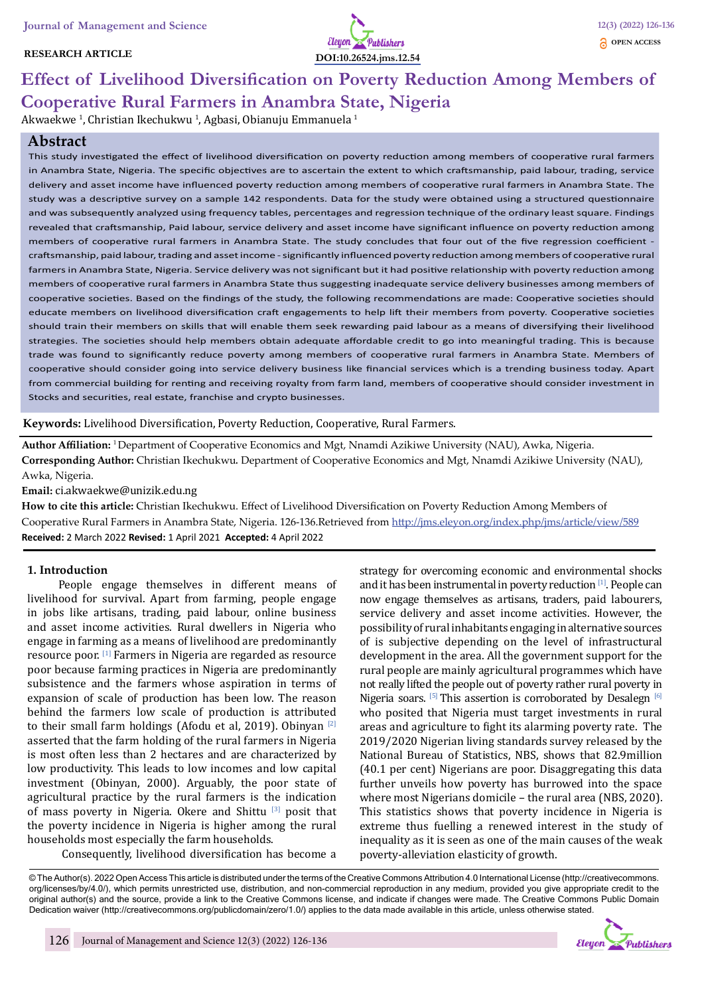# **RESEARCH ARTICLE**



# **Effect of Livelihood Diversification on Poverty Reduction Among Members of Cooperative Rural Farmers in Anambra State, Nigeria**

Akwaekwe <sup>1</sup>, Christian Ikechukwu <sup>1</sup>, Agbasi, Obianuju Emmanuela <sup>1</sup>

# **Abstract**

This study investigated the effect of livelihood diversification on poverty reduction among members of cooperative rural farmers in Anambra State, Nigeria. The specific objectives are to ascertain the extent to which craftsmanship, paid labour, trading, service delivery and asset income have influenced poverty reduction among members of cooperative rural farmers in Anambra State. The study was a descriptive survey on a sample 142 respondents. Data for the study were obtained using a structured questionnaire and was subsequently analyzed using frequency tables, percentages and regression technique of the ordinary least square. Findings revealed that craftsmanship, Paid labour, service delivery and asset income have significant influence on poverty reduction among members of cooperative rural farmers in Anambra State. The study concludes that four out of the five regression coefficient craftsmanship, paid labour, trading and asset income - significantly influenced poverty reduction among members of cooperative rural farmers in Anambra State, Nigeria. Service delivery was not significant but it had positive relationship with poverty reduction among members of cooperative rural farmers in Anambra State thus suggesting inadequate service delivery businesses among members of cooperative societies. Based on the findings of the study, the following recommendations are made: Cooperative societies should educate members on livelihood diversification craft engagements to help lift their members from poverty. Cooperative societies should train their members on skills that will enable them seek rewarding paid labour as a means of diversifying their livelihood strategies. The societies should help members obtain adequate affordable credit to go into meaningful trading. This is because trade was found to significantly reduce poverty among members of cooperative rural farmers in Anambra State. Members of cooperative should consider going into service delivery business like financial services which is a trending business today. Apart from commercial building for renting and receiving royalty from farm land, members of cooperative should consider investment in Stocks and securities, real estate, franchise and crypto businesses.

**Keywords:** Livelihood Diversification, Poverty Reduction, Cooperative, Rural Farmers.

**Author Affiliation:** 1 Department of Cooperative Economics and Mgt, Nnamdi Azikiwe University (NAU), Awka, Nigeria. **Corresponding Author:** Christian Ikechukwu. Department of Cooperative Economics and Mgt, Nnamdi Azikiwe University (NAU), Awka, Nigeria.

**Email:** ci.akwaekwe@unizik.edu.ng

**How to cite this article:** Christian Ikechukwu. Effect of Livelihood Diversification on Poverty Reduction Among Members of Cooperative Rural Farmers in Anambra State, Nigeria. 126-136.Retrieved from http://jms.eleyon.org/index.php/jms/article/view/589 **Received:** 2 March 2022 **Revised:** 1 April 2021 **Accepted:** 4 April 2022

### **1. Introduction**

People engage themselves in different means of livelihood for survival. Apart from farming, people engage in jobs like artisans, trading, paid labour, online business and asset income activities. Rural dwellers in Nigeria who engage in farming as a means of livelihood are predominantly resource poor. [1] Farmers in Nigeria are regarded as resource poor because farming practices in Nigeria are predominantly subsistence and the farmers whose aspiration in terms of expansion of scale of production has been low. The reason behind the farmers low scale of production is attributed to their small farm holdings (Afodu et al, 2019). Obinyan  $[2]$ asserted that the farm holding of the rural farmers in Nigeria is most often less than 2 hectares and are characterized by low productivity. This leads to low incomes and low capital investment (Obinyan, 2000). Arguably, the poor state of agricultural practice by the rural farmers is the indication of mass poverty in Nigeria. Okere and Shittu [3] posit that the poverty incidence in Nigeria is higher among the rural households most especially the farm households.

Consequently, livelihood diversification has become a

strategy for overcoming economic and environmental shocks and it has been instrumental in poverty reduction [1]. People can now engage themselves as artisans, traders, paid labourers, service delivery and asset income activities. However, the possibility of rural inhabitants engaging in alternative sources of is subjective depending on the level of infrastructural development in the area. All the government support for the rural people are mainly agricultural programmes which have not really lifted the people out of poverty rather rural poverty in Nigeria soars. [5] This assertion is corroborated by Desalegn [6] who posited that Nigeria must target investments in rural areas and agriculture to fight its alarming poverty rate. The 2019/2020 Nigerian living standards survey released by the National Bureau of Statistics, NBS, shows that 82.9million (40.1 per cent) Nigerians are poor. Disaggregating this data further unveils how poverty has burrowed into the space where most Nigerians domicile – the rural area (NBS, 2020). This statistics shows that poverty incidence in Nigeria is extreme thus fuelling a renewed interest in the study of inequality as it is seen as one of the main causes of the weak poverty-alleviation elasticity of growth.

© The Author(s). 2022 Open Access This article is distributed under the terms of the Creative Commons Attribution 4.0 International License (http://creativecommons. org/licenses/by/4.0/), which permits unrestricted use, distribution, and non-commercial reproduction in any medium, provided you give appropriate credit to the original author(s) and the source, provide a link to the Creative Commons license, and indicate if changes were made. The Creative Commons Public Domain Dedication waiver (http://creativecommons.org/publicdomain/zero/1.0/) applies to the data made available in this article, unless otherwise stated.

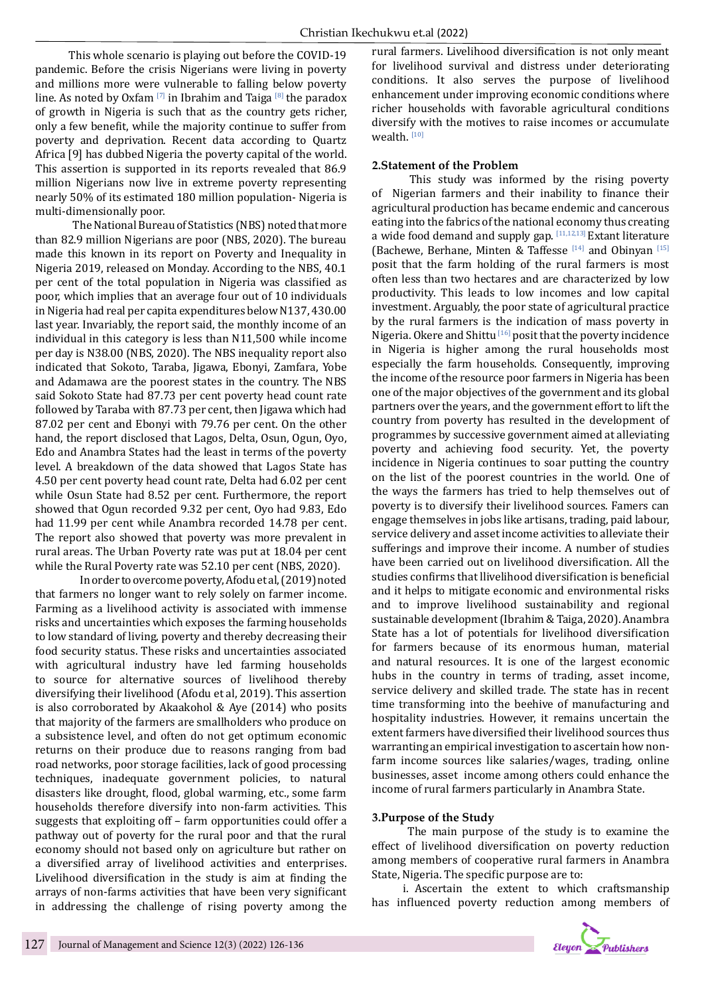This whole scenario is playing out before the COVID-19 pandemic. Before the crisis Nigerians were living in poverty and millions more were vulnerable to falling below poverty line. As noted by Oxfam [7] in Ibrahim and Taiga [8] the paradox of growth in Nigeria is such that as the country gets richer, only a few benefit, while the majority continue to suffer from poverty and deprivation. Recent data according to Quartz Africa [9] has dubbed Nigeria the poverty capital of the world. This assertion is supported in its reports revealed that 86.9 million Nigerians now live in extreme poverty representing nearly 50% of its estimated 180 million population- Nigeria is multi-dimensionally poor.

 The National Bureau of Statistics (NBS) noted that more than 82.9 million Nigerians are poor (NBS, 2020). The bureau made this known in its report on Poverty and Inequality in Nigeria 2019, released on Monday. According to the NBS, 40.1 per cent of the total population in Nigeria was classified as poor, which implies that an average four out of 10 individuals in Nigeria had real per capita expenditures below N137, 430.00 last year. Invariably, the report said, the monthly income of an individual in this category is less than N11,500 while income per day is N38.00 (NBS, 2020). The NBS inequality report also indicated that Sokoto, Taraba, Jigawa, Ebonyi, Zamfara, Yobe and Adamawa are the poorest states in the country. The NBS said Sokoto State had 87.73 per cent poverty head count rate followed by Taraba with 87.73 per cent, then Jigawa which had 87.02 per cent and Ebonyi with 79.76 per cent. On the other hand, the report disclosed that Lagos, Delta, Osun, Ogun, Oyo, Edo and Anambra States had the least in terms of the poverty level. A breakdown of the data showed that Lagos State has 4.50 per cent poverty head count rate, Delta had 6.02 per cent while Osun State had 8.52 per cent. Furthermore, the report showed that Ogun recorded 9.32 per cent, Oyo had 9.83, Edo had 11.99 per cent while Anambra recorded 14.78 per cent. The report also showed that poverty was more prevalent in rural areas. The Urban Poverty rate was put at 18.04 per cent while the Rural Poverty rate was 52.10 per cent (NBS, 2020).

 In order to overcome poverty, Afodu et al, (2019) noted that farmers no longer want to rely solely on farmer income. Farming as a livelihood activity is associated with immense risks and uncertainties which exposes the farming households to low standard of living, poverty and thereby decreasing their food security status. These risks and uncertainties associated with agricultural industry have led farming households to source for alternative sources of livelihood thereby diversifying their livelihood (Afodu et al, 2019). This assertion is also corroborated by Akaakohol & Aye (2014) who posits that majority of the farmers are smallholders who produce on a subsistence level, and often do not get optimum economic returns on their produce due to reasons ranging from bad road networks, poor storage facilities, lack of good processing techniques, inadequate government policies, to natural disasters like drought, flood, global warming, etc., some farm households therefore diversify into non-farm activities. This suggests that exploiting off – farm opportunities could offer a pathway out of poverty for the rural poor and that the rural economy should not based only on agriculture but rather on a diversified array of livelihood activities and enterprises. Livelihood diversification in the study is aim at finding the arrays of non-farms activities that have been very significant in addressing the challenge of rising poverty among the rural farmers. Livelihood diversification is not only meant for livelihood survival and distress under deteriorating conditions. It also serves the purpose of livelihood enhancement under improving economic conditions where richer households with favorable agricultural conditions diversify with the motives to raise incomes or accumulate wealth.<sup>[10]</sup>

# **2.Statement of the Problem**

 This study was informed by the rising poverty of Nigerian farmers and their inability to finance their agricultural production has became endemic and cancerous eating into the fabrics of the national economy thus creating a wide food demand and supply gap.  $[11,12,13]$  Extant literature (Bachewe, Berhane, Minten & Taffesse  $[14]$  and Obinyan  $[15]$ posit that the farm holding of the rural farmers is most often less than two hectares and are characterized by low productivity. This leads to low incomes and low capital investment. Arguably, the poor state of agricultural practice by the rural farmers is the indication of mass poverty in Nigeria. Okere and Shittu [16] posit that the poverty incidence in Nigeria is higher among the rural households most especially the farm households. Consequently, improving the income of the resource poor farmers in Nigeria has been one of the major objectives of the government and its global partners over the years, and the government effort to lift the country from poverty has resulted in the development of programmes by successive government aimed at alleviating poverty and achieving food security. Yet, the poverty incidence in Nigeria continues to soar putting the country on the list of the poorest countries in the world. One of the ways the farmers has tried to help themselves out of poverty is to diversify their livelihood sources. Famers can engage themselves in jobs like artisans, trading, paid labour, service delivery and asset income activities to alleviate their sufferings and improve their income. A number of studies have been carried out on livelihood diversification. All the studies confirms that llivelihood diversification is beneficial and it helps to mitigate economic and environmental risks and to improve livelihood sustainability and regional sustainable development (Ibrahim & Taiga, 2020). Anambra State has a lot of potentials for livelihood diversification for farmers because of its enormous human, material and natural resources. It is one of the largest economic hubs in the country in terms of trading, asset income, service delivery and skilled trade. The state has in recent time transforming into the beehive of manufacturing and hospitality industries. However, it remains uncertain the extent farmers have diversified their livelihood sources thus warranting an empirical investigation to ascertain how nonfarm income sources like salaries/wages, trading, online businesses, asset income among others could enhance the income of rural farmers particularly in Anambra State.

# **3.Purpose of the Study**

 The main purpose of the study is to examine the effect of livelihood diversification on poverty reduction among members of cooperative rural farmers in Anambra State, Nigeria. The specific purpose are to:

i. Ascertain the extent to which craftsmanship has influenced poverty reduction among members of

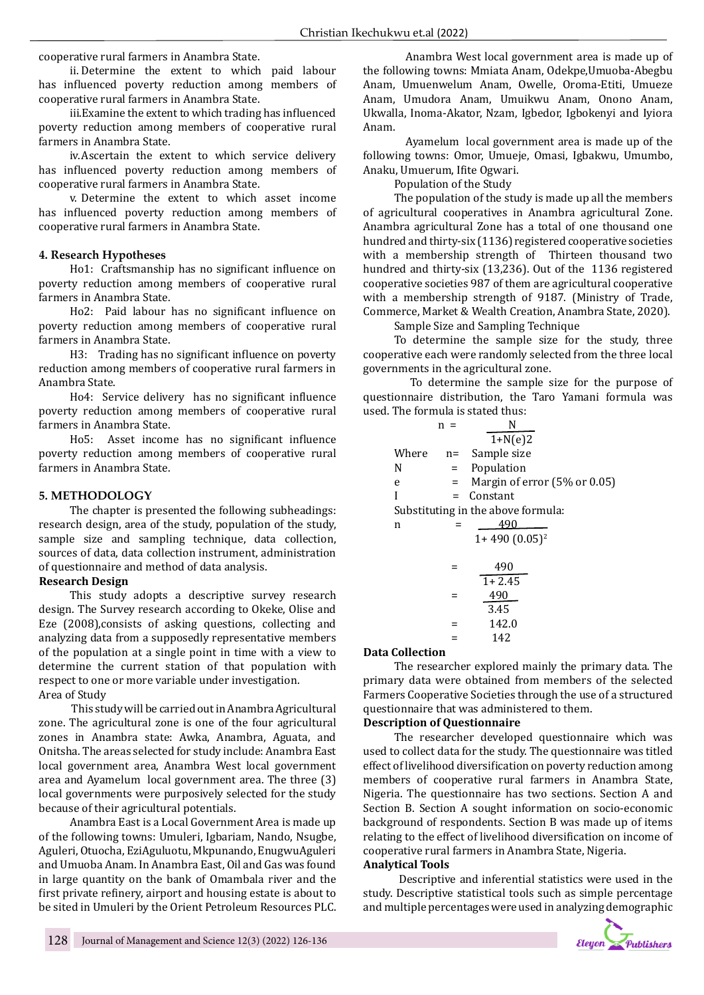cooperative rural farmers in Anambra State.

ii. Determine the extent to which paid labour has influenced poverty reduction among members of cooperative rural farmers in Anambra State.

iii.Examine the extent to which trading has influenced poverty reduction among members of cooperative rural farmers in Anambra State.

iv.Ascertain the extent to which service delivery has influenced poverty reduction among members of cooperative rural farmers in Anambra State.

v. Determine the extent to which asset income has influenced poverty reduction among members of cooperative rural farmers in Anambra State.

#### **4. Research Hypotheses**

Ho1: Craftsmanship has no significant influence on poverty reduction among members of cooperative rural farmers in Anambra State.

Ho2: Paid labour has no significant influence on poverty reduction among members of cooperative rural farmers in Anambra State.

H3: Trading has no significant influence on poverty reduction among members of cooperative rural farmers in Anambra State.

Ho4: Service delivery has no significant influence poverty reduction among members of cooperative rural farmers in Anambra State.

Ho5: Asset income has no significant influence poverty reduction among members of cooperative rural farmers in Anambra State.

#### **5. METHODOLOGY**

The chapter is presented the following subheadings: research design, area of the study, population of the study, sample size and sampling technique, data collection, sources of data, data collection instrument, administration of questionnaire and method of data analysis.

#### **Research Design**

This study adopts a descriptive survey research design. The Survey research according to Okeke, Olise and Eze (2008),consists of asking questions, collecting and analyzing data from a supposedly representative members of the population at a single point in time with a view to determine the current station of that population with respect to one or more variable under investigation. Area of Study

 This study will be carried out in Anambra Agricultural zone. The agricultural zone is one of the four agricultural zones in Anambra state: Awka, Anambra, Aguata, and Onitsha. The areas selected for study include: Anambra East local government area, Anambra West local government area and Ayamelum local government area. The three (3) local governments were purposively selected for the study because of their agricultural potentials.

Anambra East is a Local Government Area is made up of the following towns: Umuleri, Igbariam, Nando, Nsugbe, Aguleri, Otuocha, EziAguluotu, Mkpunando, EnugwuAguleri and Umuoba Anam. In Anambra East, Oil and Gas was found in large quantity on the bank of Omambala river and the first private refinery, airport and housing estate is about to be sited in Umuleri by the Orient Petroleum Resources PLC.

Anambra West local government area is made up of the following towns: Mmiata Anam, Odekpe,Umuoba-Abegbu Anam, Umuenwelum Anam, Owelle, Oroma-Etiti, Umueze Anam, Umudora Anam, Umuikwu Anam, Onono Anam, Ukwalla, Inoma-Akator, Nzam, Igbedor, Igbokenyi and Iyiora Anam.

Ayamelum local government area is made up of the following towns: Omor, Umueje, Omasi, Igbakwu, Umumbo, Anaku, Umuerum, Ifite Ogwari.

Population of the Study

The population of the study is made up all the members of agricultural cooperatives in Anambra agricultural Zone. Anambra agricultural Zone has a total of one thousand one hundred and thirty-six (1136) registered cooperative societies with a membership strength of Thirteen thousand two hundred and thirty-six (13,236). Out of the 1136 registered cooperative societies 987 of them are agricultural cooperative with a membership strength of 9187. (Ministry of Trade, Commerce, Market & Wealth Creation, Anambra State, 2020).

Sample Size and Sampling Technique

To determine the sample size for the study, three cooperative each were randomly selected from the three local governments in the agricultural zone.

 To determine the sample size for the purpose of questionnaire distribution, the Taro Yamani formula was used. The formula is stated thus:

|       | $n =$   | N                                  |
|-------|---------|------------------------------------|
|       |         | $1 + N(e)2$                        |
| Where | $n=$    | Sample size                        |
| N     |         | $=$ Population                     |
| e     | $=$ $-$ | Margin of error (5% or 0.05)       |
| Ī     | $=$     | Constant                           |
|       |         | Substituting in the above formula: |
| n     |         | 490                                |
|       |         | $1+490(0.05)^2$                    |
|       |         | 490<br>$1 + 2.45$                  |
|       |         | 490<br>3.45                        |
|       |         | 142.0                              |
|       |         | 142                                |

#### **Data Collection**

The researcher explored mainly the primary data. The primary data were obtained from members of the selected Farmers Cooperative Societies through the use of a structured questionnaire that was administered to them.

#### **Description of Questionnaire**

The researcher developed questionnaire which was used to collect data for the study. The questionnaire was titled effect of livelihood diversification on poverty reduction among members of cooperative rural farmers in Anambra State, Nigeria. The questionnaire has two sections. Section A and Section B. Section A sought information on socio-economic background of respondents. Section B was made up of items relating to the effect of livelihood diversification on income of cooperative rural farmers in Anambra State, Nigeria. **Analytical Tools**

 Descriptive and inferential statistics were used in the study. Descriptive statistical tools such as simple percentage and multiple percentages were used in analyzing demographic

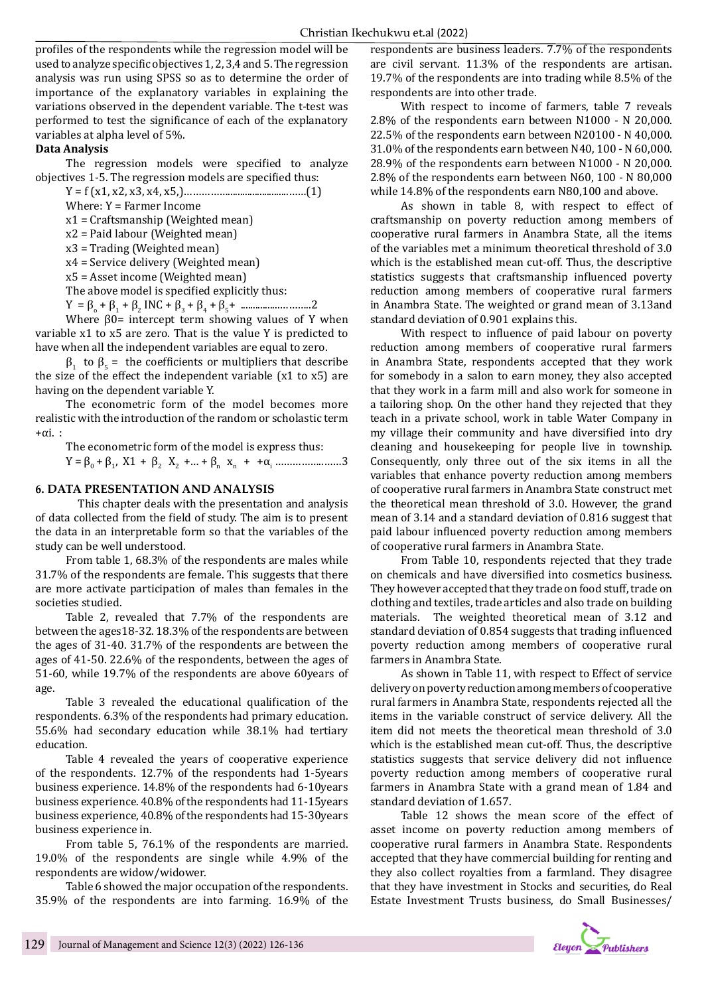profiles of the respondents while the regression model will be used to analyze specific objectives 1, 2, 3,4 and 5. The regression analysis was run using SPSS so as to determine the order of importance of the explanatory variables in explaining the variations observed in the dependent variable. The t-test was performed to test the significance of each of the explanatory variables at alpha level of 5%.

# **Data Analysis**

The regression models were specified to analyze objectives 1-5. The regression models are specified thus:

Y = f (x1, x2, x3, x4, x5,)…………….........................……(1) Where: Y = Farmer Income

x1 = Craftsmanship (Weighted mean)

- x2 = Paid labour (Weighted mean)
- x3 = Trading (Weighted mean)

x4 = Service delivery (Weighted mean)

x5 = Asset income (Weighted mean)

The above model is specified explicitly thus:

 $Y = \beta_0 + \beta_1 + \beta_2 \text{INC} + \beta_3 + \beta_4 + \beta_5 + \dots$ 

Where  $\beta$ 0= intercept term showing values of Y when variable x1 to x5 are zero. That is the value Y is predicted to have when all the independent variables are equal to zero.

 $β_1$  to  $β_5$  = the coefficients or multipliers that describe the size of the effect the independent variable (x1 to x5) are having on the dependent variable Y.

The econometric form of the model becomes more realistic with the introduction of the random or scholastic term  $+\alpha$ i.

The econometric form of the model is express thus:

Y = β0 + β<sup>1</sup> , X1 + β2 X2 +… + β<sup>n</sup> xn + +α<sup>i</sup> ……………..……3

# **6. DATA PRESENTATION AND ANALYSIS**

This chapter deals with the presentation and analysis of data collected from the field of study. The aim is to present the data in an interpretable form so that the variables of the study can be well understood.

From table 1, 68.3% of the respondents are males while 31.7% of the respondents are female. This suggests that there are more activate participation of males than females in the societies studied.

Table 2, revealed that 7.7% of the respondents are between the ages18-32. 18.3% of the respondents are between the ages of 31-40. 31.7% of the respondents are between the ages of 41-50. 22.6% of the respondents, between the ages of 51-60, while 19.7% of the respondents are above 60years of age.

Table 3 revealed the educational qualification of the respondents. 6.3% of the respondents had primary education. 55.6% had secondary education while 38.1% had tertiary education.

Table 4 revealed the years of cooperative experience of the respondents. 12.7% of the respondents had 1-5years business experience. 14.8% of the respondents had 6-10years business experience. 40.8% of the respondents had 11-15years business experience, 40.8% of the respondents had 15-30years business experience in.

From table 5, 76.1% of the respondents are married. 19.0% of the respondents are single while 4.9% of the respondents are widow/widower.

Table 6 showed the major occupation of the respondents. 35.9% of the respondents are into farming. 16.9% of the

respondents are business leaders. 7.7% of the respondents are civil servant. 11.3% of the respondents are artisan. 19.7% of the respondents are into trading while 8.5% of the respondents are into other trade.

With respect to income of farmers, table 7 reveals 2.8% of the respondents earn between N1000 - N 20,000. 22.5% of the respondents earn between N20100 - N 40,000. 31.0% of the respondents earn between N40, 100 - N 60,000. 28.9% of the respondents earn between N1000 - N 20,000. 2.8% of the respondents earn between N60, 100 - N 80,000 while 14.8% of the respondents earn N80,100 and above.

As shown in table 8, with respect to effect of craftsmanship on poverty reduction among members of cooperative rural farmers in Anambra State, all the items of the variables met a minimum theoretical threshold of 3.0 which is the established mean cut-off. Thus, the descriptive statistics suggests that craftsmanship influenced poverty reduction among members of cooperative rural farmers in Anambra State. The weighted or grand mean of 3.13and standard deviation of 0.901 explains this.

With respect to influence of paid labour on poverty reduction among members of cooperative rural farmers in Anambra State, respondents accepted that they work for somebody in a salon to earn money, they also accepted that they work in a farm mill and also work for someone in a tailoring shop. On the other hand they rejected that they teach in a private school, work in table Water Company in my village their community and have diversified into dry cleaning and housekeeping for people live in township. Consequently, only three out of the six items in all the variables that enhance poverty reduction among members of cooperative rural farmers in Anambra State construct met the theoretical mean threshold of 3.0. However, the grand mean of 3.14 and a standard deviation of 0.816 suggest that paid labour influenced poverty reduction among members of cooperative rural farmers in Anambra State.

From Table 10, respondents rejected that they trade on chemicals and have diversified into cosmetics business. They however accepted that they trade on food stuff, trade on clothing and textiles, trade articles and also trade on building materials. The weighted theoretical mean of 3.12 and standard deviation of 0.854 suggests that trading influenced poverty reduction among members of cooperative rural farmers in Anambra State.

As shown in Table 11, with respect to Effect of service delivery on poverty reduction among members of cooperative rural farmers in Anambra State, respondents rejected all the items in the variable construct of service delivery. All the item did not meets the theoretical mean threshold of 3.0 which is the established mean cut-off. Thus, the descriptive statistics suggests that service delivery did not influence poverty reduction among members of cooperative rural farmers in Anambra State with a grand mean of 1.84 and standard deviation of 1.657.

Table 12 shows the mean score of the effect of asset income on poverty reduction among members of cooperative rural farmers in Anambra State. Respondents accepted that they have commercial building for renting and they also collect royalties from a farmland. They disagree that they have investment in Stocks and securities, do Real Estate Investment Trusts business, do Small Businesses/

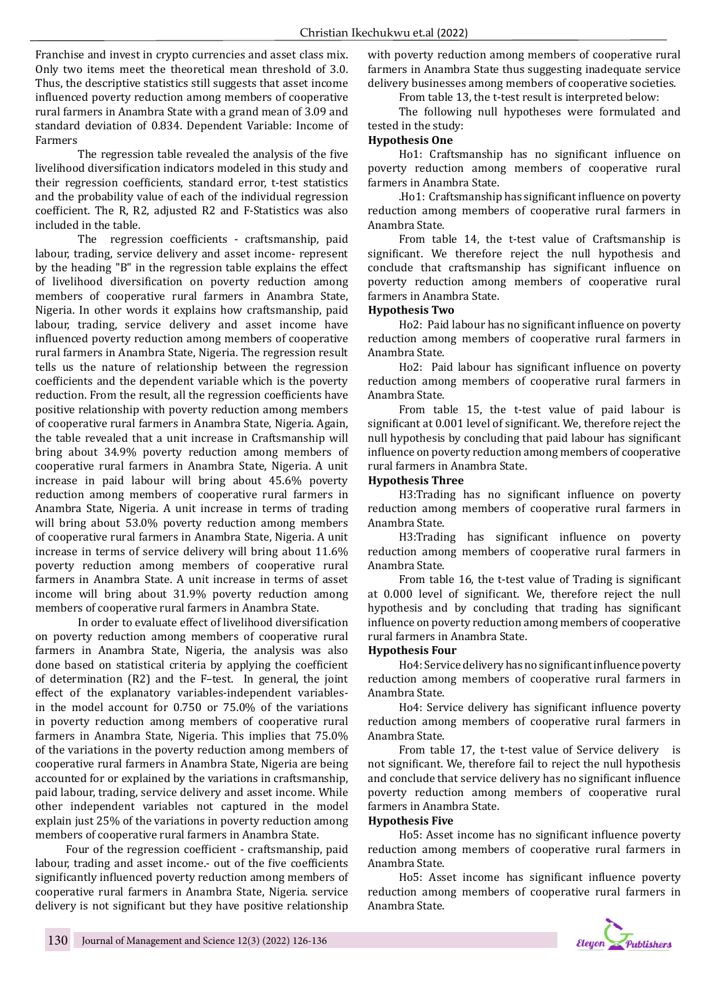Franchise and invest in crypto currencies and asset class mix. Only two items meet the theoretical mean threshold of 3.0. Thus, the descriptive statistics still suggests that asset income influenced poverty reduction among members of cooperative rural farmers in Anambra State with a grand mean of 3.09 and standard deviation of 0.834. Dependent Variable: Income of Farmers

The regression table revealed the analysis of the five livelihood diversification indicators modeled in this study and their regression coefficients, standard error, t-test statistics and the probability value of each of the individual regression coefficient. The R, R2, adjusted R2 and F-Statistics was also included in the table.

The regression coefficients - craftsmanship, paid labour, trading, service delivery and asset income- represent by the heading "B" in the regression table explains the effect of livelihood diversification on poverty reduction among members of cooperative rural farmers in Anambra State, Nigeria. In other words it explains how craftsmanship, paid labour, trading, service delivery and asset income have influenced poverty reduction among members of cooperative rural farmers in Anambra State, Nigeria. The regression result tells us the nature of relationship between the regression coefficients and the dependent variable which is the poverty reduction. From the result, all the regression coefficients have positive relationship with poverty reduction among members of cooperative rural farmers in Anambra State, Nigeria. Again, the table revealed that a unit increase in Craftsmanship will bring about 34.9% poverty reduction among members of cooperative rural farmers in Anambra State, Nigeria. A unit increase in paid labour will bring about 45.6% poverty reduction among members of cooperative rural farmers in Anambra State, Nigeria. A unit increase in terms of trading will bring about 53.0% poverty reduction among members of cooperative rural farmers in Anambra State, Nigeria. A unit increase in terms of service delivery will bring about 11.6% poverty reduction among members of cooperative rural farmers in Anambra State. A unit increase in terms of asset income will bring about 31.9% poverty reduction among members of cooperative rural farmers in Anambra State.

In order to evaluate effect of livelihood diversification on poverty reduction among members of cooperative rural farmers in Anambra State, Nigeria, the analysis was also done based on statistical criteria by applying the coefficient of determination (R2) and the F–test. In general, the joint effect of the explanatory variables-independent variablesin the model account for 0.750 or 75.0% of the variations in poverty reduction among members of cooperative rural farmers in Anambra State, Nigeria. This implies that 75.0% of the variations in the poverty reduction among members of cooperative rural farmers in Anambra State, Nigeria are being accounted for or explained by the variations in craftsmanship, paid labour, trading, service delivery and asset income. While other independent variables not captured in the model explain just 25% of the variations in poverty reduction among members of cooperative rural farmers in Anambra State.

Four of the regression coefficient - craftsmanship, paid labour, trading and asset income.- out of the five coefficients significantly influenced poverty reduction among members of cooperative rural farmers in Anambra State, Nigeria. service delivery is not significant but they have positive relationship

with poverty reduction among members of cooperative rural farmers in Anambra State thus suggesting inadequate service delivery businesses among members of cooperative societies.

From table 13, the t-test result is interpreted below:

The following null hypotheses were formulated and tested in the study:

#### **Hypothesis One**

Ho1: Craftsmanship has no significant influence on poverty reduction among members of cooperative rural farmers in Anambra State.

.Ho1: Craftsmanship has significant influence on poverty reduction among members of cooperative rural farmers in Anambra State.

From table 14, the t-test value of Craftsmanship is significant. We therefore reject the null hypothesis and conclude that craftsmanship has significant influence on poverty reduction among members of cooperative rural farmers in Anambra State.

#### **Hypothesis Two**

Ho2: Paid labour has no significant influence on poverty reduction among members of cooperative rural farmers in Anambra State.

Ho2: Paid labour has significant influence on poverty reduction among members of cooperative rural farmers in Anambra State.

From table 15, the t-test value of paid labour is significant at 0.001 level of significant. We, therefore reject the null hypothesis by concluding that paid labour has significant influence on poverty reduction among members of cooperative rural farmers in Anambra State.

#### **Hypothesis Three**

H3:Trading has no significant influence on poverty reduction among members of cooperative rural farmers in Anambra State.

H3:Trading has significant influence on poverty reduction among members of cooperative rural farmers in Anambra State.

From table 16, the t-test value of Trading is significant at 0.000 level of significant. We, therefore reject the null hypothesis and by concluding that trading has significant influence on poverty reduction among members of cooperative rural farmers in Anambra State.

#### **Hypothesis Four**

Ho4: Service delivery has no significant influence poverty reduction among members of cooperative rural farmers in Anambra State.

Ho4: Service delivery has significant influence poverty reduction among members of cooperative rural farmers in Anambra State.

From table 17, the t-test value of Service delivery is not significant. We, therefore fail to reject the null hypothesis and conclude that service delivery has no significant influence poverty reduction among members of cooperative rural farmers in Anambra State.

#### **Hypothesis Five**

Ho5: Asset income has no significant influence poverty reduction among members of cooperative rural farmers in Anambra State.

Ho5: Asset income has significant influence poverty reduction among members of cooperative rural farmers in Anambra State.

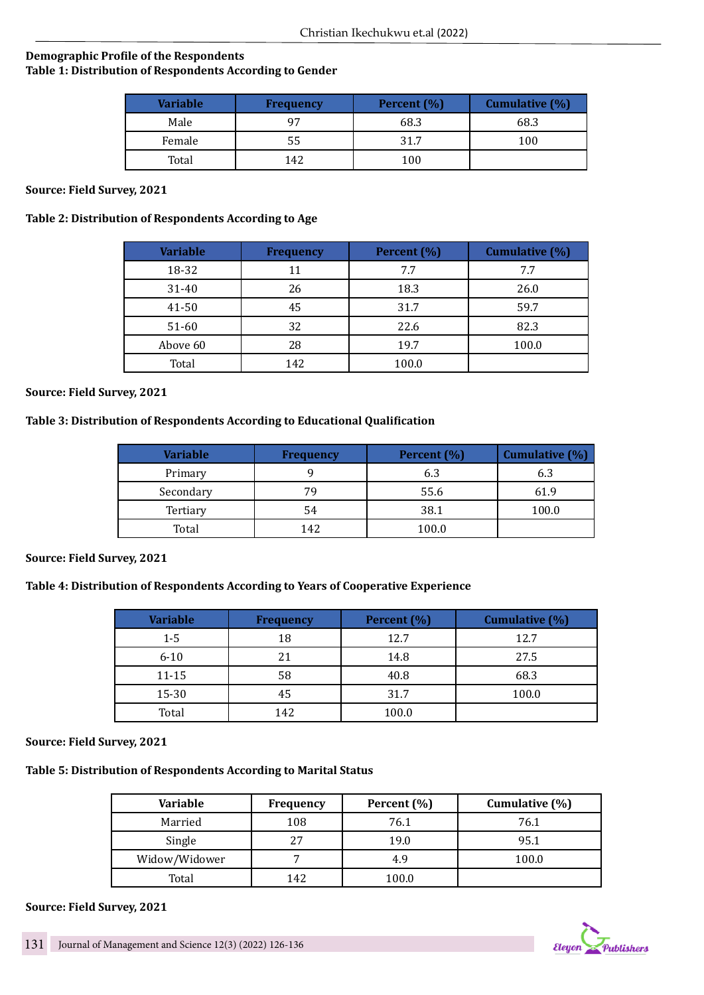# **Demographic Profile of the Respondents Table 1: Distribution of Respondents According to Gender**

| <b>Variable</b> | <b>Frequency</b> | Percent $(\% )$ | <b>Cumulative (%)</b> |
|-----------------|------------------|-----------------|-----------------------|
| Male            | 97               | 68.3            | 68.3                  |
| Female          | 55               | 31.7            | 100                   |
| Total           | 142              | 100             |                       |

**Source: Field Survey, 2021**

# **Table 2: Distribution of Respondents According to Age**

| <b>Variable</b> | <b>Frequency</b> | Percent (%) | Cumulative (%) |
|-----------------|------------------|-------------|----------------|
| 18-32           | 11               | 7.7         | 7.7            |
| 31-40           | 26               | 18.3        | 26.0           |
| 41-50           | 45               | 31.7        | 59.7           |
| 51-60           | 32               | 22.6        | 82.3           |
| Above 60        | 28               | 19.7        | 100.0          |
| Total           | 142              | 100.0       |                |

**Source: Field Survey, 2021**

# **Table 3: Distribution of Respondents According to Educational Qualification**

| Variable  | <b>Frequency</b> | Percent (%) | Cumulative (%) |
|-----------|------------------|-------------|----------------|
| Primary   |                  | 6.3         |                |
| Secondary | 79               | 55.6        | 61.9           |
| Tertiary  | 54               | 38.1        | 100.0          |
| Total     | 142              | 100.0       |                |

### **Source: Field Survey, 2021**

# **Table 4: Distribution of Respondents According to Years of Cooperative Experience**

| <b>Variable</b> | <b>Frequency</b> | Percent (%) | Cumulative (%) |
|-----------------|------------------|-------------|----------------|
| $1 - 5$         | 18               | 12.7        | 12.7           |
| $6 - 10$        | 21               | 14.8        | 27.5           |
| $11 - 15$       | 58               | 40.8        | 68.3           |
| 15-30           | 45               | 31.7        | 100.0          |
| Total           | 142              | 100.0       |                |

### **Source: Field Survey, 2021**

# **Table 5: Distribution of Respondents According to Marital Status**

| <b>Variable</b> | <b>Frequency</b> | Percent (%) | Cumulative $(\%)$ |
|-----------------|------------------|-------------|-------------------|
| Married         | 108              | 76.1        | 76.1              |
| Single          | 27               | 19.0        | 95.1              |
| Widow/Widower   |                  | 4.9         | 100.0             |
| Total           | 142              | 100.0       |                   |

### **Source: Field Survey, 2021**

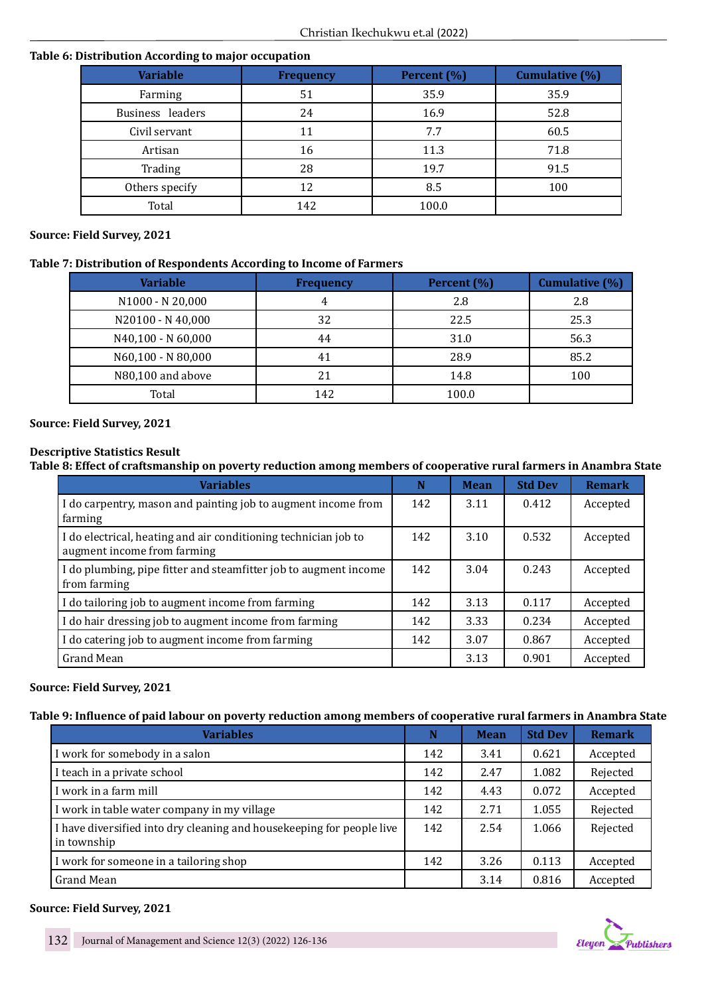# **Table 6: Distribution According to major occupation**

| <b>Variable</b>  | <b>Frequency</b> | Percent (%) | <b>Cumulative (%)</b> |
|------------------|------------------|-------------|-----------------------|
| Farming          | 51               | 35.9        | 35.9                  |
| Business leaders | 24               | 16.9        | 52.8                  |
| Civil servant    | 11               | 7.7         | 60.5                  |
| Artisan          | 16               | 11.3        | 71.8                  |
| Trading          | 28               | 19.7        | 91.5                  |
| Others specify   | 12               | 8.5         | 100                   |
| Total            | 142              | 100.0       |                       |

# **Source: Field Survey, 2021**

# **Table 7: Distribution of Respondents According to Income of Farmers**

| <b>Variable</b>    | <b>Frequency</b> | Percent (%) | Cumulative (%) |
|--------------------|------------------|-------------|----------------|
| N1000 - N 20,000   |                  | 2.8         | 2.8            |
| N20100 - N 40,000  | 32               | 22.5        | 25.3           |
| N40,100 - N 60,000 | 44               | 31.0        | 56.3           |
| N60,100 - N 80,000 | 41               | 28.9        | 85.2           |
| N80,100 and above  | 21               | 14.8        | 100            |
| Total              | 142              | 100.0       |                |

# **Source: Field Survey, 2021**

# **Descriptive Statistics Result**

# **Table 8: Effect of craftsmanship on poverty reduction among members of cooperative rural farmers in Anambra State**

| <b>Variables</b>                                                                               | N   | <b>Mean</b> | <b>Std Dev</b> | <b>Remark</b> |
|------------------------------------------------------------------------------------------------|-----|-------------|----------------|---------------|
| I do carpentry, mason and painting job to augment income from<br>farming                       | 142 | 3.11        | 0.412          | Accepted      |
| I do electrical, heating and air conditioning technician job to<br>augment income from farming | 142 | 3.10        | 0.532          | Accepted      |
| I do plumbing, pipe fitter and steamfitter job to augment income<br>from farming               | 142 | 3.04        | 0.243          | Accepted      |
| I do tailoring job to augment income from farming                                              | 142 | 3.13        | 0.117          | Accepted      |
| I do hair dressing job to augment income from farming                                          | 142 | 3.33        | 0.234          | Accepted      |
| I do catering job to augment income from farming                                               | 142 | 3.07        | 0.867          | Accepted      |
| Grand Mean                                                                                     |     | 3.13        | 0.901          | Accepted      |

# **Source: Field Survey, 2021**

# **Table 9: Influence of paid labour on poverty reduction among members of cooperative rural farmers in Anambra State**

| <b>Variables</b>                                                                     | N   | <b>Mean</b> | <b>Std Dev</b> | <b>Remark</b> |
|--------------------------------------------------------------------------------------|-----|-------------|----------------|---------------|
| I work for somebody in a salon                                                       | 142 | 3.41        | 0.621          | Accepted      |
| I teach in a private school                                                          | 142 | 2.47        | 1.082          | Rejected      |
| I work in a farm mill                                                                | 142 | 4.43        | 0.072          | Accepted      |
| I work in table water company in my village                                          | 142 | 2.71        | 1.055          | Rejected      |
| I have diversified into dry cleaning and housekeeping for people live<br>in township | 142 | 2.54        | 1.066          | Rejected      |
| I work for someone in a tailoring shop                                               | 142 | 3.26        | 0.113          | Accepted      |
| Grand Mean                                                                           |     | 3.14        | 0.816          | Accepted      |

# **Source: Field Survey, 2021**

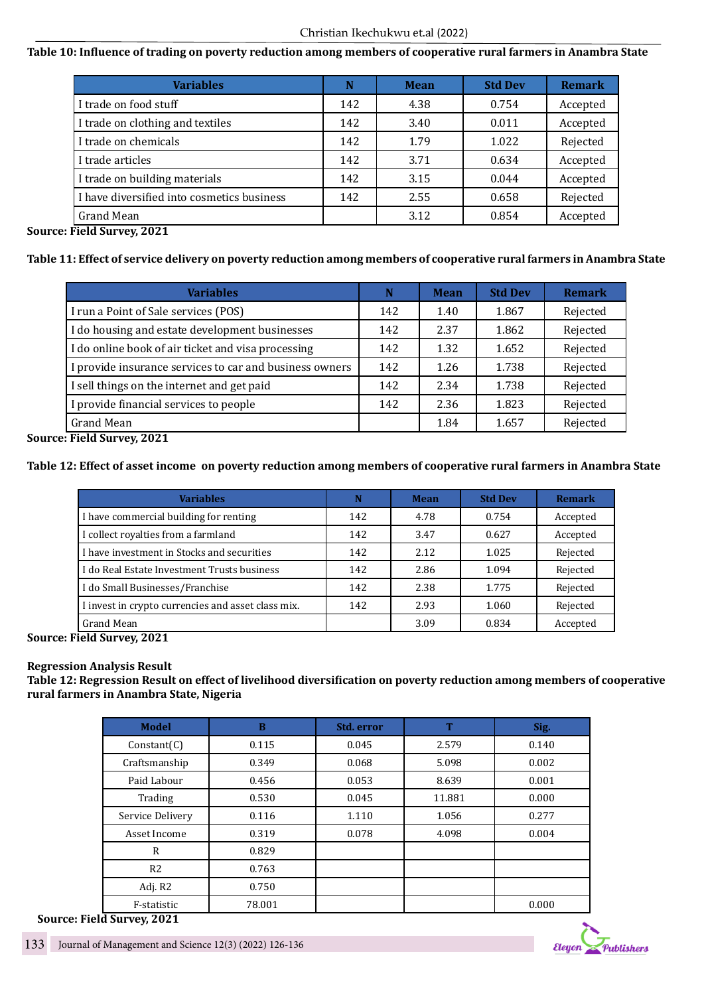# **Table 10: Influence of trading on poverty reduction among members of cooperative rural farmers in Anambra State**

| <b>Variables</b>                               | N   | <b>Mean</b> | <b>Std Dev</b> | <b>Remark</b> |
|------------------------------------------------|-----|-------------|----------------|---------------|
| I trade on food stuff                          | 142 | 4.38        | 0.754          | Accepted      |
| I trade on clothing and textiles               | 142 | 3.40        | 0.011          | Accepted      |
| I trade on chemicals                           | 142 | 1.79        | 1.022          | Rejected      |
| I trade articles                               | 142 | 3.71        | 0.634          | Accepted      |
| I trade on building materials                  | 142 | 3.15        | 0.044          | Accepted      |
| I have diversified into cosmetics business     | 142 | 2.55        | 0.658          | Rejected      |
| Grand Mean<br>.<br>$\sim$ $\sim$ $\sim$ $\sim$ |     | 3.12        | 0.854          | Accepted      |

**Source: Field Survey, 2021**

# **Table 11: Effect of service delivery on poverty reduction among members of cooperative rural farmers in Anambra State**

| <b>Variables</b>                                        | N   | <b>Mean</b> | <b>Std Dev</b> | <b>Remark</b> |
|---------------------------------------------------------|-----|-------------|----------------|---------------|
| I run a Point of Sale services (POS)                    | 142 | 1.40        | 1.867          | Rejected      |
| I do housing and estate development businesses          | 142 | 2.37        | 1.862          | Rejected      |
| I do online book of air ticket and visa processing      | 142 | 1.32        | 1.652          | Rejected      |
| I provide insurance services to car and business owners | 142 | 1.26        | 1.738          | Rejected      |
| I sell things on the internet and get paid              | 142 | 2.34        | 1.738          | Rejected      |
| I provide financial services to people                  | 142 | 2.36        | 1.823          | Rejected      |
| Grand Mean                                              |     | 1.84        | 1.657          | Rejected      |

**Source: Field Survey, 2021**

# **Table 12: Effect of asset income on poverty reduction among members of cooperative rural farmers in Anambra State**

| <b>Variables</b>                                   | N   | <b>Mean</b> | <b>Std Dev</b> | <b>Remark</b> |
|----------------------------------------------------|-----|-------------|----------------|---------------|
| I have commercial building for renting             | 142 | 4.78        | 0.754          | Accepted      |
| I collect royalties from a farmland                | 142 | 3.47        | 0.627          | Accepted      |
| I have investment in Stocks and securities         | 142 | 2.12        | 1.025          | Rejected      |
| I do Real Estate Investment Trusts business        | 142 | 2.86        | 1.094          | Rejected      |
| I do Small Businesses/Franchise                    | 142 | 2.38        | 1.775          | Rejected      |
| I invest in crypto currencies and asset class mix. | 142 | 2.93        | 1.060          | Rejected      |
| Grand Mean                                         |     | 3.09        | 0.834          | Accepted      |

**Source: Field Survey, 2021**

# **Regression Analysis Result**

**Table 12: Regression Result on effect of livelihood diversification on poverty reduction among members of cooperative rural farmers in Anambra State, Nigeria**

| <b>Model</b>     | B      | Std. error | T      | Sig.  |
|------------------|--------|------------|--------|-------|
| Constant(C)      | 0.115  | 0.045      | 2.579  | 0.140 |
| Craftsmanship    | 0.349  | 0.068      | 5.098  | 0.002 |
| Paid Labour      | 0.456  | 0.053      | 8.639  | 0.001 |
| Trading          | 0.530  | 0.045      | 11.881 | 0.000 |
| Service Delivery | 0.116  | 1.110      | 1.056  | 0.277 |
| Asset Income     | 0.319  | 0.078      | 4.098  | 0.004 |
| $\mathsf{R}$     | 0.829  |            |        |       |
| R <sub>2</sub>   | 0.763  |            |        |       |
| Adj. R2          | 0.750  |            |        |       |
| F-statistic      | 78.001 |            |        | 0.000 |



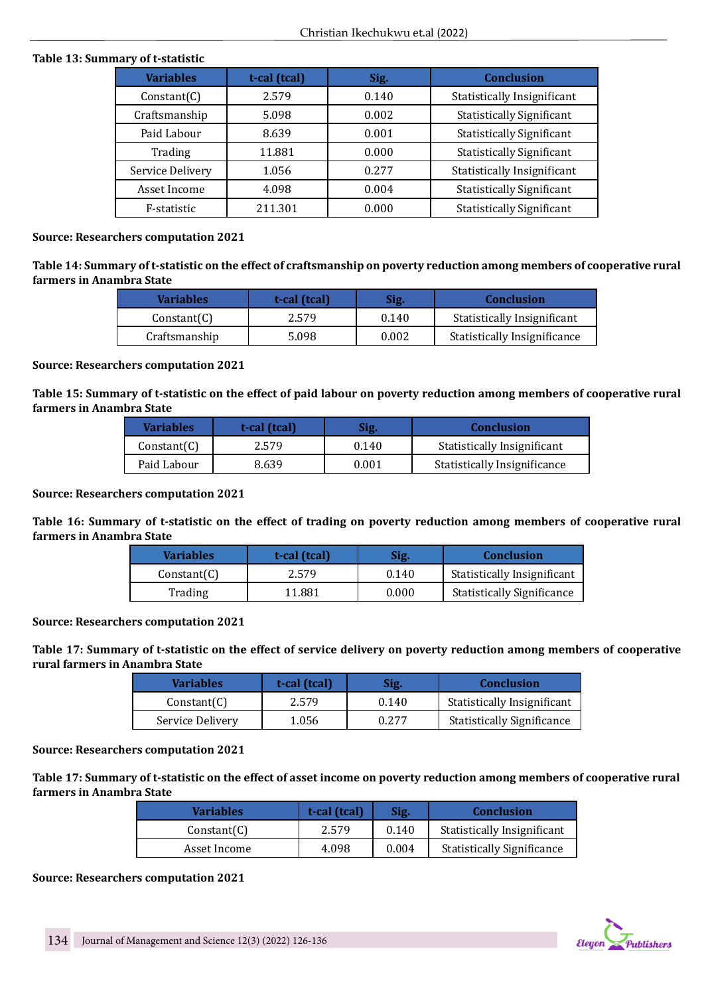# **Table 13: Summary of t-statistic**

| <b>Variables</b> | t-cal (tcal) | Sig.  | <b>Conclusion</b>                |
|------------------|--------------|-------|----------------------------------|
| Constant(C)      | 2.579        | 0.140 | Statistically Insignificant      |
| Craftsmanship    | 5.098        | 0.002 | <b>Statistically Significant</b> |
| Paid Labour      | 8.639        | 0.001 | <b>Statistically Significant</b> |
| Trading          | 11.881       | 0.000 | <b>Statistically Significant</b> |
| Service Delivery | 1.056        | 0.277 | Statistically Insignificant      |
| Asset Income     | 4.098        | 0.004 | <b>Statistically Significant</b> |
| F-statistic      | 211.301      | 0.000 | <b>Statistically Significant</b> |

# **Source: Researchers computation 2021**

**Table 14: Summary of t-statistic on the effect of craftsmanship on poverty reduction among members of cooperative rural farmers in Anambra State**

| <b>Variables</b> | t-cal (tcal) | Sig.  | <b>Conclusion</b>            |
|------------------|--------------|-------|------------------------------|
| Constant(C)      | 2.579        | 0.140 | Statistically Insignificant  |
| Craftsmanship    | 5.098        | 0.002 | Statistically Insignificance |

#### **Source: Researchers computation 2021**

**Table 15: Summary of t-statistic on the effect of paid labour on poverty reduction among members of cooperative rural farmers in Anambra State**

| <b>Variables</b> | t-cal (tcal) | Sig.  | <b>Conclusion</b>            |
|------------------|--------------|-------|------------------------------|
| Constant(C)      | 2.579        | 0.140 | Statistically Insignificant  |
| Paid Labour      | 8.639        | 0.001 | Statistically Insignificance |

### **Source: Researchers computation 2021**

**Table 16: Summary of t-statistic on the effect of trading on poverty reduction among members of cooperative rural farmers in Anambra State**

| <b>Variables</b> | t-cal (tcal) | Sig.  | <b>Conclusion</b>                 |
|------------------|--------------|-------|-----------------------------------|
| Constant(C)      | 2.579        | 0.140 | Statistically Insignificant       |
| Trading          | 11.881       | 0.000 | <b>Statistically Significance</b> |

# **Source: Researchers computation 2021**

**Table 17: Summary of t-statistic on the effect of service delivery on poverty reduction among members of cooperative rural farmers in Anambra State**

| <b>Variables</b> | t-cal (tcal) | Sig.  | <b>Conclusion</b>                  |
|------------------|--------------|-------|------------------------------------|
| Constant(C)      | 2.579        | 0.140 | <b>Statistically Insignificant</b> |
| Service Delivery | 1.056        | 0.277 | <b>Statistically Significance</b>  |

### **Source: Researchers computation 2021**

**Table 17: Summary of t-statistic on the effect of asset income on poverty reduction among members of cooperative rural farmers in Anambra State**

| <b>Variables</b> | t-cal (tcal) | Sig.  | <b>Conclusion</b>                 |
|------------------|--------------|-------|-----------------------------------|
| Constant(C)      | 2.579        | 0.140 | Statistically Insignificant       |
| Asset Income     | 4.098        | 0.004 | <b>Statistically Significance</b> |

### **Source: Researchers computation 2021**

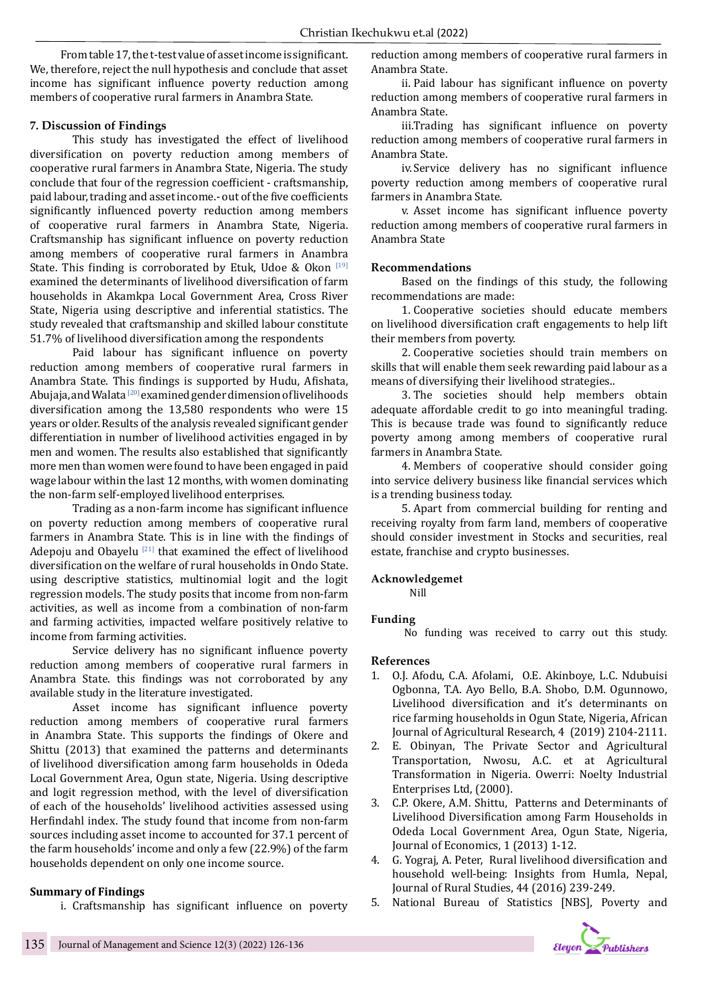From table 17, the t-test value of asset income is significant. We, therefore, reject the null hypothesis and conclude that asset income has significant influence poverty reduction among members of cooperative rural farmers in Anambra State.

# **7. Discussion of Findings**

This study has investigated the effect of livelihood diversification on poverty reduction among members of cooperative rural farmers in Anambra State, Nigeria. The study conclude that four of the regression coefficient - craftsmanship, paid labour, trading and asset income.- out of the five coefficients significantly influenced poverty reduction among members of cooperative rural farmers in Anambra State, Nigeria. Craftsmanship has significant influence on poverty reduction among members of cooperative rural farmers in Anambra State. This finding is corroborated by Etuk, Udoe & Okon  $[19]$ examined the determinants of livelihood diversification of farm households in Akamkpa Local Government Area, Cross River State, Nigeria using descriptive and inferential statistics. The study revealed that craftsmanship and skilled labour constitute 51.7% of livelihood diversification among the respondents

Paid labour has significant influence on poverty reduction among members of cooperative rural farmers in Anambra State. This findings is supported by Hudu, Afishata, Abujaja, and Walata [20] examined gender dimension of livelihoods diversification among the 13,580 respondents who were 15 years or older. Results of the analysis revealed significant gender differentiation in number of livelihood activities engaged in by men and women. The results also established that significantly more men than women were found to have been engaged in paid wage labour within the last 12 months, with women dominating the non-farm self-employed livelihood enterprises.

Trading as a non-farm income has significant influence on poverty reduction among members of cooperative rural farmers in Anambra State. This is in line with the findings of Adepoju and Obayelu  $[21]$  that examined the effect of livelihood diversification on the welfare of rural households in Ondo State. using descriptive statistics, multinomial logit and the logit regression models. The study posits that income from non-farm activities, as well as income from a combination of non-farm and farming activities, impacted welfare positively relative to income from farming activities.

Service delivery has no significant influence poverty reduction among members of cooperative rural farmers in Anambra State. this findings was not corroborated by any available study in the literature investigated.

Asset income has significant influence poverty reduction among members of cooperative rural farmers in Anambra State. This supports the findings of Okere and Shittu (2013) that examined the patterns and determinants of livelihood diversification among farm households in Odeda Local Government Area, Ogun state, Nigeria. Using descriptive and logit regression method, with the level of diversification of each of the households' livelihood activities assessed using Herfindahl index. The study found that income from non-farm sources including asset income to accounted for 37.1 percent of the farm households' income and only a few (22.9%) of the farm households dependent on only one income source.

### **Summary of Findings**

i. Craftsmanship has significant influence on poverty

reduction among members of cooperative rural farmers in Anambra State.

ii. Paid labour has significant influence on poverty reduction among members of cooperative rural farmers in Anambra State.

iii.Trading has significant influence on poverty reduction among members of cooperative rural farmers in Anambra State.

iv.Service delivery has no significant influence poverty reduction among members of cooperative rural farmers in Anambra State.

v. Asset income has significant influence poverty reduction among members of cooperative rural farmers in Anambra State

# **Recommendations**

Based on the findings of this study, the following recommendations are made:

1. Cooperative societies should educate members on livelihood diversification craft engagements to help lift their members from poverty.

2. Cooperative societies should train members on skills that will enable them seek rewarding paid labour as a means of diversifying their livelihood strategies..

3. The societies should help members obtain adequate affordable credit to go into meaningful trading. This is because trade was found to significantly reduce poverty among among members of cooperative rural farmers in Anambra State.

4. Members of cooperative should consider going into service delivery business like financial services which is a trending business today.

5. Apart from commercial building for renting and receiving royalty from farm land, members of cooperative should consider investment in Stocks and securities, real estate, franchise and crypto businesses.

### **Acknowledgemet**

Nill

### **Funding**

No funding was received to carry out this study.

### **References**

- 1. O.J. Afodu, C.A. Afolami, O.E. Akinboye, L.C. Ndubuisi Ogbonna, T.A. Ayo Bello, B.A. Shobo, D.M. Ogunnowo, Livelihood diversification and it's determinants on rice farming households in Ogun State, Nigeria, African Journal of Agricultural Research, 4 (2019) 2104-2111.
- 2. E. Obinyan, The Private Sector and Agricultural Transportation, Nwosu, A.C. et at Agricultural Transformation in Nigeria. Owerri: Noelty Industrial Enterprises Ltd, (2000).
- 3. C.P. Okere, A.M. Shittu, Patterns and Determinants of Livelihood Diversification among Farm Households in Odeda Local Government Area, Ogun State, Nigeria, Journal of Economics, 1 (2013) 1-12.
- 4. G. Yograj, A. Peter, Rural livelihood diversification and household well-being: Insights from Humla, Nepal, Journal of Rural Studies, 44 (2016) 239-249.
- 5. National Bureau of Statistics [NBS], Poverty and